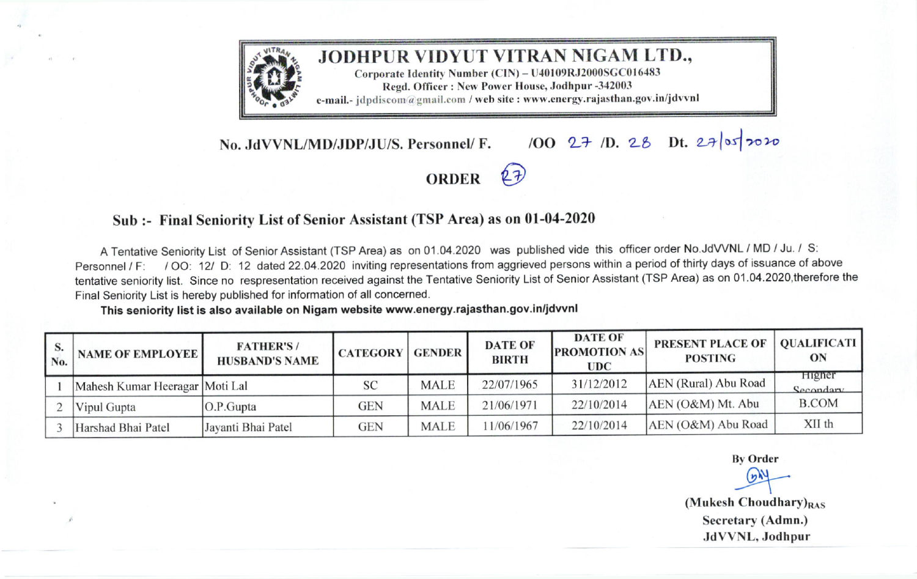

## JODHPUR VIDYUT VITRAN NIGAM LTD.,

Corporate Identity Number (CIN) - U40109RJ2000SGC016483 Regd. Officer: New Power House, Jodhpur -342003 e-mail.- idpdiscom@gmail.com / web site : www.energy.rajasthan.gov.in/jdvvnl

100 27 1D. 28 Dt. 27/05/2020 No. JdVVNL/MD/JDP/JU/S. Personnel/ F.



## Sub :- Final Seniority List of Senior Assistant (TSP Area) as on 01-04-2020

A Tentative Seniority List of Senior Assistant (TSP Area) as on 01.04.2020 was published vide this officer order No.JdVVNL / MD / Ju. / S: Personnel / F: / OO: 12/ D: 12 dated 22.04.2020 inviting representations from aggrieved persons within a period of thirty days of issuance of above tentative seniority list. Since no respresentation received against the Tentative Seniority List of Senior Assistant (TSP Area) as on 01.04.2020, therefore the Final Seniority List is hereby published for information of all concerned.

This seniority list is also available on Nigam website www.energy.rajasthan.gov.in/jdvvnl

| $\mathbf{D}$<br>No. | NAME OF EMPLOYEE               | <b>FATHER'S/</b><br><b>HUSBAND'S NAME</b> | <b>CATEGORY</b> | <b>GENDER</b> | <b>DATE OF</b><br><b>BIRTH</b> | <b>DATE OF</b><br><b>PROMOTION AS</b><br><b>UDC</b> | PRESENT PLACE OF<br><b>POSTING</b> | <b>OUALIFICATI</b><br>ON   |
|---------------------|--------------------------------|-------------------------------------------|-----------------|---------------|--------------------------------|-----------------------------------------------------|------------------------------------|----------------------------|
|                     | Mahesh Kumar Heeragar Moti Lal |                                           | SC              | MALE          | 22/07/1965                     | 31/12/2012                                          | AEN (Rural) Abu Road               | <b>Higher</b><br>Secondary |
|                     | Vipul Gupta                    | O.P.Gupta                                 | GEN             | MALE          | 21/06/1971                     | 22/10/2014                                          | AEN (O&M) Mt. Abu                  | <b>B.COM</b>               |
|                     | Harshad Bhai Patel             | Jayanti Bhai Patel                        | <b>GEN</b>      | <b>MALE</b>   | 1/06/1967                      | 22/10/2014                                          | AEN (O&M) Abu Road                 | XII th                     |

**By Order** 

(Mukesh Choudhary) $_{RAS}$ Secretary (Admn.) JdVVNL, Jodhpur